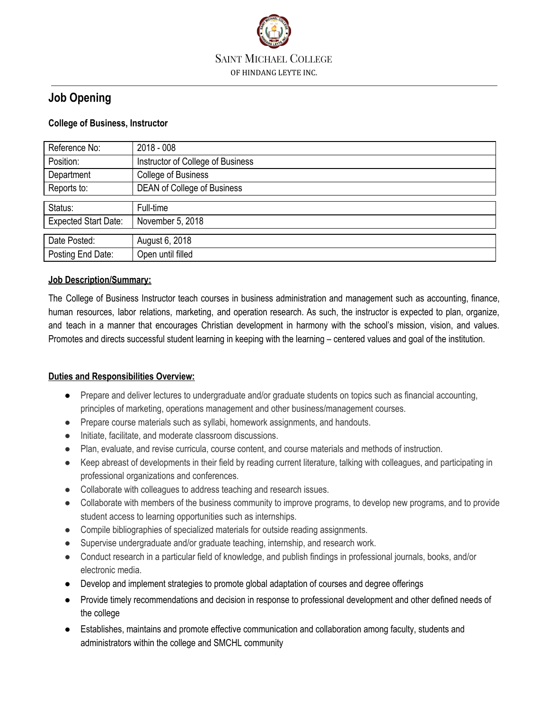

# **Job Opening**

# **College of Business, Instructor**

| Reference No:               | $2018 - 008$                       |
|-----------------------------|------------------------------------|
| Position:                   | Instructor of College of Business  |
| Department                  | <b>College of Business</b>         |
| Reports to:                 | <b>DEAN of College of Business</b> |
|                             |                                    |
| Status:                     | Full-time                          |
| <b>Expected Start Date:</b> | November 5, 2018                   |
|                             |                                    |
| Date Posted:                | August 6, 2018                     |
| Posting End Date:           | Open until filled                  |

# **Job Description/Summary:**

The College of Business Instructor teach courses in business administration and management such as accounting, finance, human resources, labor relations, marketing, and operation research. As such, the instructor is expected to plan, organize, and teach in a manner that encourages Christian development in harmony with the school's mission, vision, and values. Promotes and directs successful student learning in keeping with the learning – centered values and goal of the institution.

# **Duties and Responsibilities Overview:**

- Prepare and deliver lectures to undergraduate and/or graduate students on topics such as financial accounting, principles of marketing, operations management and other business/management courses.
- Prepare course materials such as syllabi, homework assignments, and handouts.
- Initiate, facilitate, and moderate classroom discussions.
- Plan, evaluate, and revise curricula, course content, and course materials and methods of instruction.
- Keep abreast of developments in their field by reading current literature, talking with colleagues, and participating in professional organizations and conferences.
- Collaborate with colleagues to address teaching and research issues.
- Collaborate with members of the business community to improve programs, to develop new programs, and to provide student access to learning opportunities such as internships.
- Compile bibliographies of specialized materials for outside reading assignments.
- Supervise undergraduate and/or graduate teaching, internship, and research work.
- Conduct research in a particular field of knowledge, and publish findings in professional journals, books, and/or electronic media.
- Develop and implement strategies to promote global adaptation of courses and degree offerings
- Provide timely recommendations and decision in response to professional development and other defined needs of the college
- Establishes, maintains and promote effective communication and collaboration among faculty, students and administrators within the college and SMCHL community